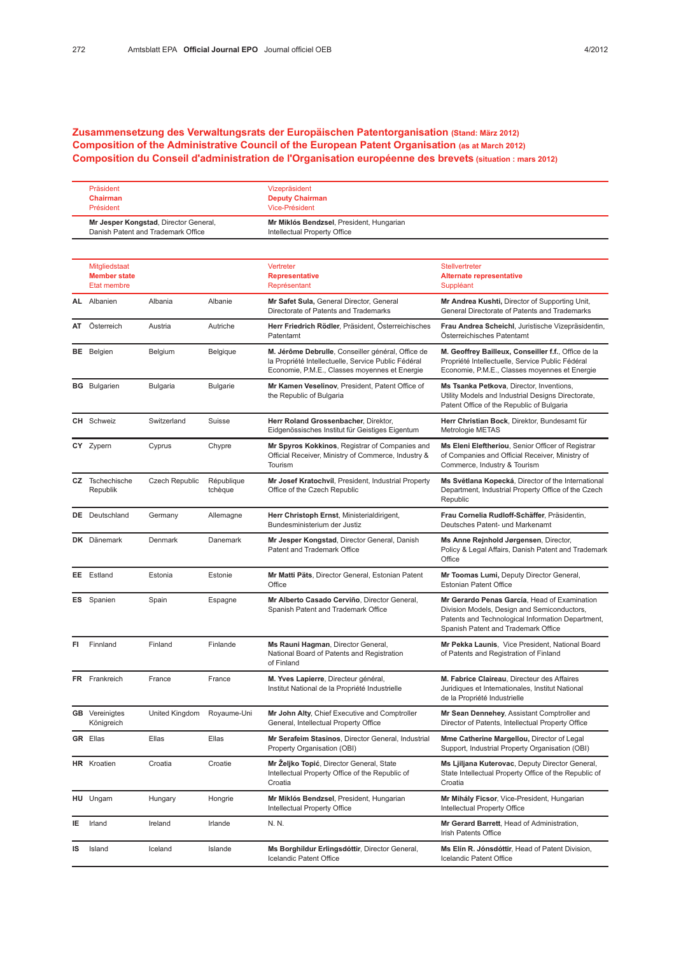## Zusammensetzung des Verwaltungsrats der Europäischen Patentorganisation (Stand: März 2012) Composition of the Administrative Council of the European Patent Organisation (as at March 2012) Composition du Conseil d'administration de l'Organisation européenne des brevets (situation : mars 2012)

| Präsident                             | Vizepräsident                            |
|---------------------------------------|------------------------------------------|
| Chairman                              | <b>Deputy Chairman</b>                   |
| Président                             | Vice-Président                           |
| Mr Jesper Kongstad, Director General, | Mr Miklós Bendzsel, President, Hungarian |
| Danish Patent and Trademark Office    | Intellectual Property Office             |

|    | Mitgliedstaat<br><b>Member state</b><br>Etat membre |                       |                       | Vertreter<br><b>Representative</b><br>Représentant                                                                                                        | Stellvertreter<br><b>Alternate representative</b><br>Suppléant                                                                                                                          |
|----|-----------------------------------------------------|-----------------------|-----------------------|-----------------------------------------------------------------------------------------------------------------------------------------------------------|-----------------------------------------------------------------------------------------------------------------------------------------------------------------------------------------|
|    | <b>AL</b> Albanien                                  | Albania               | Albanie               | Mr Safet Sula, General Director, General<br>Directorate of Patents and Trademarks                                                                         | Mr Andrea Kushti, Director of Supporting Unit,<br>General Directorate of Patents and Trademarks                                                                                         |
| AT | Österreich                                          | Austria               | Autriche              | Herr Friedrich Rödler, Präsident, Österreichisches<br>Patentamt                                                                                           | Frau Andrea Scheichl, Juristische Vizepräsidentin,<br>Österreichisches Patentamt                                                                                                        |
|    | <b>BE</b> Belgien                                   | Belgium               | Belgique              | M. Jérôme Debrulle, Conseiller général, Office de<br>la Propriété Intellectuelle, Service Public Fédéral<br>Economie, P.M.E., Classes moyennes et Energie | M. Geoffrey Bailleux, Conseiller f.f., Office de la<br>Propriété Intellectuelle, Service Public Fédéral<br>Economie, P.M.E., Classes moyennes et Energie                                |
|    | <b>BG</b> Bulgarien                                 | <b>Bulgaria</b>       | <b>Bulgarie</b>       | Mr Kamen Veselinov, President, Patent Office of<br>the Republic of Bulgaria                                                                               | Ms Tsanka Petkova, Director, Inventions,<br>Utility Models and Industrial Designs Directorate,<br>Patent Office of the Republic of Bulgaria                                             |
|    | <b>CH</b> Schweiz                                   | Switzerland           | Suisse                | Herr Roland Grossenbacher, Direktor,<br>Eidgenössisches Institut für Geistiges Eigentum                                                                   | Herr Christian Bock, Direktor, Bundesamt für<br>Metrologie METAS                                                                                                                        |
|    | CY Zypern                                           | Cyprus                | Chypre                | Mr Spyros Kokkinos, Registrar of Companies and<br>Official Receiver, Ministry of Commerce, Industry &<br>Tourism                                          | Ms Eleni Eleftheriou, Senior Officer of Registrar<br>of Companies and Official Receiver, Ministry of<br>Commerce, Industry & Tourism                                                    |
|    | <b>CZ</b> Tschechische<br>Republik                  | <b>Czech Republic</b> | République<br>tchèque | Mr Josef Kratochvíl, President, Industrial Property<br>Office of the Czech Republic                                                                       | Ms Světlana Kopecká, Director of the International<br>Department, Industrial Property Office of the Czech<br>Republic                                                                   |
|    | <b>DE</b> Deutschland                               | Germany               | Allemagne             | Herr Christoph Ernst, Ministerialdirigent,<br>Bundesministerium der Justiz                                                                                | Frau Cornelia Rudloff-Schäffer, Präsidentin,<br>Deutsches Patent- und Markenamt                                                                                                         |
|    | DK Dänemark                                         | Denmark               | Danemark              | Mr Jesper Kongstad, Director General, Danish<br>Patent and Trademark Office                                                                               | Ms Anne Rejnhold Jørgensen, Director,<br>Policy & Legal Affairs, Danish Patent and Trademark<br>Office                                                                                  |
|    | EE Estland                                          | Estonia               | Estonie               | Mr Matti Päts, Director General, Estonian Patent<br>Office                                                                                                | Mr Toomas Lumi, Deputy Director General,<br><b>Estonian Patent Office</b>                                                                                                               |
|    | <b>ES</b> Spanien                                   | Spain                 | Espagne               | Mr Alberto Casado Cerviño, Director General,<br>Spanish Patent and Trademark Office                                                                       | Mr Gerardo Penas García, Head of Examination<br>Division Models, Design and Semiconductors,<br>Patents and Technological Information Department,<br>Spanish Patent and Trademark Office |
| FI | Finnland                                            | Finland               | Finlande              | Ms Rauni Hagman, Director General,<br>National Board of Patents and Registration<br>of Finland                                                            | Mr Pekka Launis, Vice President, National Board<br>of Patents and Registration of Finland                                                                                               |
|    | FR Frankreich                                       | France                | France                | M. Yves Lapierre, Directeur général,<br>Institut National de la Propriété Industrielle                                                                    | M. Fabrice Claireau, Directeur des Affaires<br>Juridiques et Internationales, Institut National<br>de la Propriété Industrielle                                                         |
|    | <b>GB</b> Vereinigtes<br>Königreich                 | United Kingdom        | Royaume-Uni           | Mr John Alty, Chief Executive and Comptroller<br>General, Intellectual Property Office                                                                    | Mr Sean Dennehey, Assistant Comptroller and<br>Director of Patents, Intellectual Property Office                                                                                        |
|    | <b>GR</b> Ellas                                     | Ellas                 | Ellas                 | Mr Serafeim Stasinos, Director General, Industrial<br>Property Organisation (OBI)                                                                         | Mme Catherine Margellou, Director of Legal<br>Support, Industrial Property Organisation (OBI)                                                                                           |
|    | HR Kroatien                                         | Croatia               | Croatie               | Mr Željko Topić, Director General, State<br>Intellectual Property Office of the Republic of<br>Croatia                                                    | Ms Ljiljana Kuterovac, Deputy Director General,<br>State Intellectual Property Office of the Republic of<br>Croatia                                                                     |
|    | HU Ungarn                                           | Hungary               | Hongrie               | Mr Miklós Bendzsel, President, Hungarian<br>Intellectual Property Office                                                                                  | Mr Mihály Ficsor, Vice-President, Hungarian<br>Intellectual Property Office                                                                                                             |
| ΙE | Irland                                              | Ireland               | Irlande               | N. N.                                                                                                                                                     | Mr Gerard Barrett, Head of Administration,<br>Irish Patents Office                                                                                                                      |
| IS | Island                                              | Iceland               | Islande               | Ms Borghildur Erlingsdóttir, Director General,<br>Icelandic Patent Office                                                                                 | Ms Elín R. Jónsdóttir, Head of Patent Division,<br>Icelandic Patent Office                                                                                                              |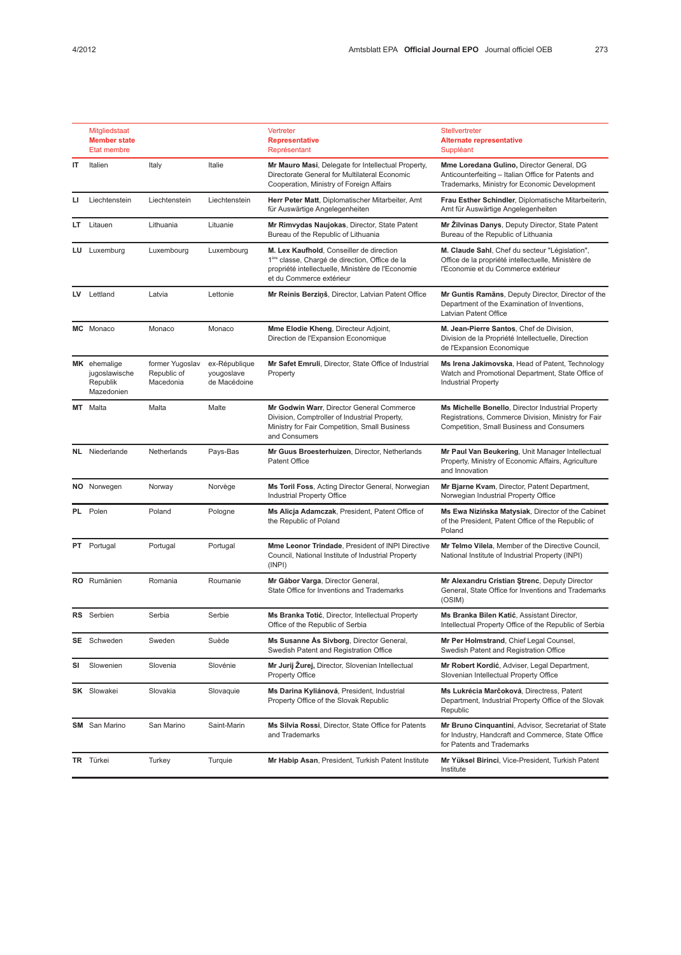|     | Mitgliedstaat<br><b>Member state</b><br><b>Etat membre</b> |                                             |                                             | Vertreter<br><b>Representative</b><br>Représentant                                                                                                                                      | Stellvertreter<br><b>Alternate representative</b><br>Suppléant                                                                                        |
|-----|------------------------------------------------------------|---------------------------------------------|---------------------------------------------|-----------------------------------------------------------------------------------------------------------------------------------------------------------------------------------------|-------------------------------------------------------------------------------------------------------------------------------------------------------|
| IT  | Italien                                                    | Italy                                       | Italie                                      | Mr Mauro Masi, Delegate for Intellectual Property,<br>Directorate General for Multilateral Economic<br>Cooperation, Ministry of Foreign Affairs                                         | Mme Loredana Gulino, Director General, DG<br>Anticounterfeiting - Italian Office for Patents and<br>Trademarks, Ministry for Economic Development     |
| ы   | Liechtenstein                                              | Liechtenstein                               | Liechtenstein                               | Herr Peter Matt, Diplomatischer Mitarbeiter, Amt<br>für Auswärtige Angelegenheiten                                                                                                      | Frau Esther Schindler, Diplomatische Mitarbeiterin,<br>Amt für Auswärtige Angelegenheiten                                                             |
| LT. | Litauen                                                    | Lithuania                                   | Lituanie                                    | Mr Rimvydas Naujokas, Director, State Patent<br>Bureau of the Republic of Lithuania                                                                                                     | Mr Zilvinas Danys, Deputy Director, State Patent<br>Bureau of the Republic of Lithuania                                                               |
|     | LU Luxemburg                                               | Luxembourg                                  | Luxembourg                                  | M. Lex Kaufhold, Conseiller de direction<br>1 <sup>ère</sup> classe, Chargé de direction, Office de la<br>propriété intellectuelle, Ministère de l'Economie<br>et du Commerce extérieur | M. Claude Sahl, Chef du secteur "Législation",<br>Office de la propriété intellectuelle, Ministère de<br>l'Economie et du Commerce extérieur          |
|     | LV Lettland                                                | Latvia                                      | Lettonie                                    | Mr Reinis Berziņš, Director, Latvian Patent Office                                                                                                                                      | Mr Guntis Ramans, Deputy Director, Director of the<br>Department of the Examination of Inventions,<br>Latvian Patent Office                           |
|     | MC Monaco                                                  | Monaco                                      | Monaco                                      | <b>Mme Elodie Kheng, Directeur Adjoint,</b><br>Direction de l'Expansion Economique                                                                                                      | M. Jean-Pierre Santos, Chef de Division,<br>Division de la Propriété Intellectuelle, Direction<br>de l'Expansion Economique                           |
|     | MK ehemalige<br>jugoslawische<br>Republik<br>Mazedonien    | former Yugoslav<br>Republic of<br>Macedonia | ex-République<br>yougoslave<br>de Macédoine | Mr Safet Emruli, Director, State Office of Industrial<br>Property                                                                                                                       | Ms Irena Jakimovska, Head of Patent, Technology<br>Watch and Promotional Department, State Office of<br><b>Industrial Property</b>                    |
|     | MT Malta                                                   | Malta                                       | Malte                                       | Mr Godwin Warr, Director General Commerce<br>Division, Comptroller of Industrial Property,<br>Ministry for Fair Competition, Small Business<br>and Consumers                            | Ms Michelle Bonello, Director Industrial Property<br>Registrations, Commerce Division, Ministry for Fair<br>Competition, Small Business and Consumers |
|     | <b>NL</b> Niederlande                                      | Netherlands                                 | Pays-Bas                                    | Mr Guus Broesterhuizen, Director, Netherlands<br><b>Patent Office</b>                                                                                                                   | Mr Paul Van Beukering, Unit Manager Intellectual<br>Property, Ministry of Economic Affairs, Agriculture<br>and Innovation                             |
|     | NO Norwegen                                                | Norway                                      | Norvège                                     | Ms Toril Foss, Acting Director General, Norwegian<br>Industrial Property Office                                                                                                         | Mr Bjarne Kvam, Director, Patent Department,<br>Norwegian Industrial Property Office                                                                  |
|     | PL Polen                                                   | Poland                                      | Pologne                                     | Ms Alicja Adamczak, President, Patent Office of<br>the Republic of Poland                                                                                                               | Ms Ewa Nizińska Matysiak, Director of the Cabinet<br>of the President, Patent Office of the Republic of<br>Poland                                     |
|     | PT Portugal                                                | Portugal                                    | Portugal                                    | Mme Leonor Trindade, President of INPI Directive<br>Council, National Institute of Industrial Property<br>(INPI)                                                                        | Mr Telmo Vilela, Member of the Directive Council,<br>National Institute of Industrial Property (INPI)                                                 |
|     | RO Rumänien                                                | Romania                                     | Roumanie                                    | Mr Gábor Varga, Director General,<br>State Office for Inventions and Trademarks                                                                                                         | Mr Alexandru Cristian Ştrenc, Deputy Director<br>General, State Office for Inventions and Trademarks<br>(OSIM)                                        |
|     | RS Serbien                                                 | Serbia                                      | Serbie                                      | Ms Branka Totić, Director, Intellectual Property<br>Office of the Republic of Serbia                                                                                                    | Ms Branka Bilen Katić, Assistant Director,<br>Intellectual Property Office of the Republic of Serbia                                                  |
|     | SE Schweden                                                | Sweden                                      | Suède                                       | Ms Susanne As Sivborg, Director General,<br>Swedish Patent and Registration Office                                                                                                      | Mr Per Holmstrand, Chief Legal Counsel,<br>Swedish Patent and Registration Office                                                                     |
| SI  | Slowenien                                                  | Slovenia                                    | Slovénie                                    | Mr Jurij Žurej, Director, Slovenian Intellectual<br><b>Property Office</b>                                                                                                              | Mr Robert Kordić, Adviser, Legal Department,<br>Slovenian Intellectual Property Office                                                                |
|     | <b>SK</b> Slowakei                                         | Slovakia                                    | Slovaquie                                   | Ms Darina Kyliánová, President, Industrial<br>Property Office of the Slovak Republic                                                                                                    | Ms Lukrécia Marčoková, Directress, Patent<br>Department, Industrial Property Office of the Slovak<br>Republic                                         |
|     | <b>SM</b> San Marino                                       | San Marino                                  | Saint-Marin                                 | Ms Silvia Rossi, Director, State Office for Patents<br>and Trademarks                                                                                                                   | Mr Bruno Cinquantini, Advisor, Secretariat of State<br>for Industry, Handcraft and Commerce, State Office<br>for Patents and Trademarks               |
|     | TR Türkei                                                  | Turkey                                      | Turquie                                     | Mr Habip Asan, President, Turkish Patent Institute                                                                                                                                      | Mr Yüksel Birinci, Vice-President, Turkish Patent<br>Institute                                                                                        |